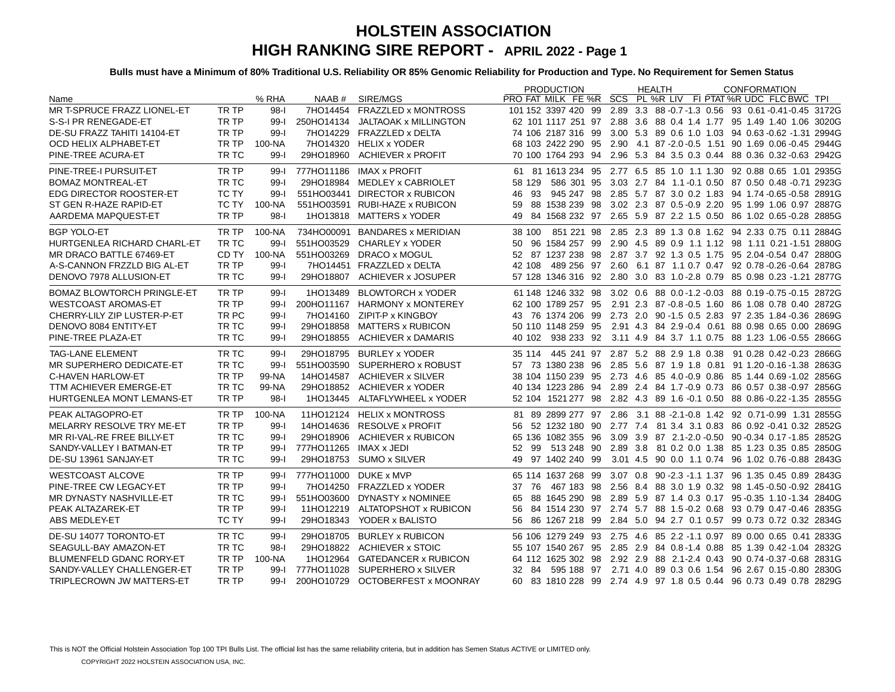|                                   |              |          |                        |                                  | <b>PRODUCTION</b>  | <b>HEALTH</b> | <b>CONFORMATION</b>                                                              |
|-----------------------------------|--------------|----------|------------------------|----------------------------------|--------------------|---------------|----------------------------------------------------------------------------------|
| Name                              |              | % RHA    |                        | NAAB # SIRE/MGS                  |                    |               | PRO FAT MILK FE %R SCS PL %R LIV FI PTAT %R UDC FLC BWC TPL                      |
| MR T-SPRUCE FRAZZ LIONEL-ET       | TR TP        | $98-$    |                        | 7HO14454 FRAZZLED x MONTROSS     |                    |               | 101 152 3397 420 99 2.89 3.3 88 -0.7 -1.3 0.56 93 0.61 -0.41 -0.45 3172G         |
| S-S-I PR RENEGADE-ET              | TR TP        | $99 - 1$ |                        | 250HO14134 JALTAOAK x MILLINGTON |                    |               | 62 101 1117 251 97 2.88 3.6 88 0.4 1.4 1.77 95 1.49 1.40 1.06 3020G              |
| DE-SU FRAZZ TAHITI 14104-ET       | TR TP        | $99 - 1$ |                        | 7HO14229 FRAZZLED x DELTA        |                    |               | 74 106 2187 316 99 3.00 5.3 89 0.6 1.0 1.03 94 0.63 -0.62 -1.31 2994G            |
| OCD HELIX ALPHABET-ET             | TR TP        | 100-NA   |                        | 7HO14320 HELIX x YODER           |                    |               | 68 103 2422 290 95 2.90 4.1 87 - 2.0 - 0.5 1.51 90 1.69 0.06 - 0.45 2944 G       |
| PINE-TREE ACURA-ET                | TR TC        | $99 - 1$ | 29HO18960              | <b>ACHIEVER x PROFIT</b>         |                    |               | 70 100 1764 293 94 2.96 5.3 84 3.5 0.3 0.44 88 0.36 0.32 -0.63 2942G             |
| PINE-TREE-I PURSUIT-ET            | TR TP        | $99 - 1$ |                        | 777HO11186 IMAX x PROFIT         |                    |               | 61 81 1613 234 95 2.77 6.5 85 1.0 1.1 1.30 92 0.88 0.65 1.01 2935G               |
| <b>BOMAZ MONTREAL-ET</b>          | TR TC        | $99 - 1$ |                        | 29HO18984 MEDLEY x CABRIOLET     | 58 129             |               | 586 301 95 3.03 2.7 84 1.1 -0.1 0.50 87 0.50 0.48 -0.71 2923G                    |
| EDG DIRECTOR ROOSTER-ET           | TC TY        | $99 - 1$ |                        | 551HO03441 DIRECTOR x RUBICON    |                    |               | 46 93 945 247 98 2.85 5.7 87 3.0 0.2 1.83 94 1.74 -0.65 -0.58 2891G              |
| ST GEN R-HAZE RAPID-ET            | TC TY        | 100-NA   |                        | 551HO03591 RUBI-HAZE x RUBICON   |                    |               | 59 88 1538 239 98 3.02 2.3 87 0.5 -0.9 2.20 95 1.99 1.06 0.97 2887G              |
| AARDEMA MAPQUEST-ET               | TR TP        | $98-1$   |                        | 1HO13818 MATTERS x YODER         | 49                 |               | 84 1568 232 97 2.65 5.9 87 2.2 1.5 0.50 86 1.02 0.65 -0.28 2885G                 |
| <b>BGP YOLO-ET</b>                | TR TP        | 100-NA   |                        | 734HO00091 BANDARES x MERIDIAN   | 38 100             |               | 851 221 98 2.85 2.3 89 1.3 0.8 1.62 94 2.33 0.75 0.11 2884G                      |
| HURTGENLEA RICHARD CHARL-ET       | TR TC        | $99-1$   | 551HO03529             | CHARLEY x YODER                  |                    |               | 50 96 1584 257 99 2.90 4.5 89 0.9 1.1 1.12 98 1.11 0.21 -1.51 2880G              |
| MR DRACO BATTLE 67469-ET          | CD TY        | 100-NA   |                        | 551HO03269 DRACO x MOGUL         |                    |               | 52 87 1237 238 98 2.87 3.7 92 1.3 0.5 1.75 95 2.04 0.54 0.47 2880G               |
| A-S-CANNON FRZZLD BIG AL-ET       | TR TP        | $99 - 1$ |                        | 7HO14451 FRAZZLED x DELTA        | 42 108             |               | 489 256 97 2.60 6.1 87 1.1 0.7 0.47 92 0.78 -0.26 -0.64 2878G                    |
| DENOVO 7978 ALLUSION-ET           | TR TC        | $99 - 1$ |                        | 29HO18807 ACHIEVER x JOSUPER     |                    |               | 57 128 1346 316 92 2.80 3.0 83 1.0-2.8 0.79 85 0.98 0.23 -1.21 2877G             |
| <b>BOMAZ BLOWTORCH PRINGLE-ET</b> | TR TP        | $99 - 1$ |                        | 1HO13489 BLOWTORCH x YODER       |                    |               | 61 148 1246 332 98 3.02 0.6 88 0.0 - 1.2 - 0.03 88 0.19 - 0.75 - 0.15 2872G      |
| <b>WESTCOAST AROMAS-ET</b>        | TR TP        | $99 - 1$ |                        | 200HO11167 HARMONY x MONTEREY    | 62 100 1789 257 95 |               | 2.91 2.3 87 -0.8 -0.5 1.60 86 1.08 0.78 0.40 2872G                               |
| CHERRY-LILY ZIP LUSTER-P-ET       | TR PC        | $99 - 1$ |                        | 7HO14160 ZIPIT-P x KINGBOY       |                    |               | 43 76 1374 206 99 2.73 2.0 90 -1.5 0.5 2.83 97 2.35 1.84 -0.36 2869G             |
| DENOVO 8084 ENTITY-ET             | TR TC        | $99 - 1$ |                        | 29HO18858 MATTERS x RUBICON      |                    |               | 50 110 1148 259 95  2.91  4.3  84  2.9  - 0.4  0.61  88  0.98  0.65  0.00  2869G |
| PINE-TREE PLAZA-ET                | TR TC        | $99 - 1$ | 29HO18855              | ACHIEVER x DAMARIS               | 40 102             |               | 938 233 92 3.11 4.9 84 3.7 1.1 0.75 88 1.23 1.06 0.55 2866G                      |
| <b>TAG-LANE ELEMENT</b>           | TR TC        | $99 - 1$ |                        | 29HO18795 BURLEY x YODER         |                    |               | 35 114 445 241 97 2.87 5.2 88 2.9 1.8 0.38 91 0.28 0.42 0.23 2866G               |
| MR SUPERHERO DEDICATE-ET          | TR TC        | $99 - 1$ |                        | 551HO03590 SUPERHERO x ROBUST    |                    |               | 57 73 1380 238 96 2.85 5.6 87 1.9 1.8 0.81 91 1.20 -0.16 -1.38 2863G             |
| C-HAVEN HARLOW-ET                 | TR TP        | 99-NA    |                        | 14HO14587 ACHIEVER x SILVER      |                    |               | 38 104 1150 239 95 2.73 4.6 85 4.0 -0.9 0.86 85 1.44 0.69 -1.02 2856G            |
| TTM ACHIEVER EMERGE-ET            | TR TC        | 99-NA    |                        | 29HO18852 ACHIEVER x YODER       |                    |               | 40 134 1223 286 94 2.89 2.4 84 1.7 -0.9 0.73 86 0.57 0.38 -0.97 2856G            |
| HURTGENLEA MONT LEMANS-ET         | TR TP        | $98-1$   |                        | 1HO13445 ALTAFLYWHEEL x YODER    |                    |               | 52 104 1521 277 98 2.82 4.3 89 1.6 -0.1 0.50 88 0.86 -0.22 -1.35 2855G           |
| PEAK ALTAGOPRO-ET                 | TR TP        | 100-NA   |                        | 11HO12124 HELIX x MONTROSS       |                    |               | 81 89 2899 277 97 2.86 3.1 88 -2.1 -0.8 1.42 92 0.71 -0.99 1.31 2855G            |
| MELARRY RESOLVE TRY ME-ET         | TR TP        | $99 - 1$ |                        | 14HO14636 RESOLVE x PROFIT       |                    |               | 56 52 1232 180 90 2.77 7.4 81 3.4 3.1 0.83 86 0.92 -0.41 0.32 2852G              |
| MR RI-VAL-RE FREE BILLY-ET        | TR TC        | $99 - 1$ | 29HO18906              | ACHIEVER x RUBICON               |                    |               | 65 136 1082 355 96 3.09 3.9 87 2.1-2.0 -0.50 90 -0.34 0.17 -1.85 2852G           |
| SANDY-VALLEY I BATMAN-ET          | TR TP        | $99 - 1$ | 777HO11265 IMAX x JEDI |                                  |                    |               | 52 99 513 248 90 2.89 3.8 81 0.2 0.0 1.38 85 1.23 0.35 0.85 2850G                |
| DE-SU 13961 SANJAY-ET             | TR TC        | $99 - 1$ |                        | 29HO18753 SUMO x SILVER          | 49 97 1402 240 99  |               | 3.01 4.5 90 0.0 1.1 0.74 96 1.02 0.76 0.88 2843G                                 |
| <b>WESTCOAST ALCOVE</b>           | TR TP        | $99 - 1$ | 777HO11000 DUKE x MVP  |                                  |                    |               | 65 114 1637 268 99 3.07 0.8 90 -2.3 -1.1 1.37 96 1.35 0.45 0.89 2843G            |
| PINE-TREE CW LEGACY-ET            | TR TP        | $99 - 1$ |                        | 7HO14250 FRAZZLED x YODER        | 37<br>76           |               | 467 183 98 2.56 8.4 88 3.0 1.9 0.32 98 1.45 0.50 0.92 2841G                      |
| MR DYNASTY NASHVILLE-ET           | TR TC        | $99 - 1$ |                        | 551HO03600 DYNASTY x NOMINEE     |                    |               | 65 88 1645 290 98 2.89 5.9 87 1.4 0.3 0.17 95 -0.35 1.10 -1.34 2840G             |
| PEAK ALTAZAREK-ET                 | TR TP        | $99 - 1$ |                        | 11HO12219 ALTATOPSHOT x RUBICON  | 56                 |               | 84 1514 230 97 2.74 5.7 88 1.5 -0.2 0.68 93 0.79 0.47 -0.46 2835G                |
| ABS MEDLEY-ET                     | <b>TC TY</b> | $99 - 1$ |                        | 29HO18343 YODER x BALISTO        | 56                 |               | 86 1267 218 99 2.84 5.0 94 2.7 0.1 0.57 99 0.73 0.72 0.32 2834G                  |
| DE-SU 14077 TORONTO-ET            | TR TC        | $99 - 1$ |                        | 29HO18705 BURLEY x RUBICON       |                    |               | 56 106 1279 249 93 2.75 4.6 85 2.2 -1.1 0.97 89 0.00 0.65 0.41 2833G             |
| SEAGULL-BAY AMAZON-ET             | TR TC        | $98 - 1$ | 29HO18822              | <b>ACHIEVER x STOIC</b>          |                    |               | 55 107 1540 267 95 2.85 2.9 84 0.8-1.4 0.88 85 1.39 0.42-1.04 2832G              |
| BLUMENFELD GDANC RORY-ET          | TR TP        | 100-NA   | 1HO12964               | <b>GATEDANCER x RUBICON</b>      |                    |               | 64 112 1625 302 98 2.92 2.9 88 2.1-2.4 0.43 90 0.74 -0.37 -0.68 2831G            |
| SANDY-VALLEY CHALLENGER-ET        | TR TP        | $99-I$   |                        | 777HO11028 SUPERHERO x SILVER    | 32 84              |               | 595 188  97  2.71  4.0  89  0.3  0.6  1.54  96  2.67  0.15  -0.80  2830G         |
| TRIPLECROWN JW MATTERS-ET         | TR TP        | $99-I$   |                        | 200HO10729 OCTOBERFEST x MOONRAY |                    |               | 60 83 1810 228 99 2.74 4.9 97 1.8 0.5 0.44 96 0.73 0.49 0.78 2829G               |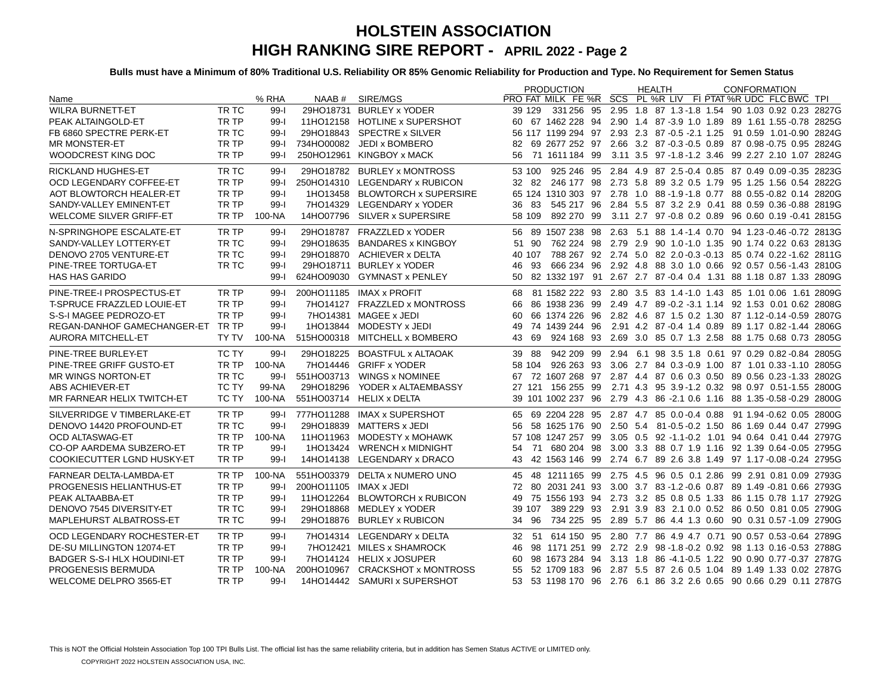|                                   |       |          |                        |                                | <b>PRODUCTION</b>    | <b>HEALTH</b>                                | <b>CONFORMATION</b>                                                    |
|-----------------------------------|-------|----------|------------------------|--------------------------------|----------------------|----------------------------------------------|------------------------------------------------------------------------|
| Name                              |       | % RHA    |                        | NAAB # SIRE/MGS                |                      |                                              | PRO FAT MILK FE %R SCS PL %R LIV FI PTAT %R UDC FLC BWC TPI            |
| <b>WILRA BURNETT-ET</b>           | TR TC | $99 - 1$ |                        | 29HO18731 BURLEY x YODER       | 39 129               |                                              | 331 256 95 2.95 1.8 87 1.3 - 1.8 1.54 90 1.03 0.92 0.23 2827G          |
| PEAK ALTAINGOLD-ET                | TR TP | $99 - 1$ |                        | 11HO12158 HOTLINE x SUPERSHOT  |                      |                                              | 60 67 1462 228 94 2.90 1.4 87 -3.9 1.0 1.89 89 1.61 1.55 -0.78 2825G   |
| FB 6860 SPECTRE PERK-ET           | TR TC | $99 - 1$ |                        | 29HO18843 SPECTRE x SILVER     |                      |                                              | 56 117 1199 294 97 2.93 2.3 87 -0.5 -2.1 1.25 91 0.59 1.01 -0.90 2824G |
| <b>MR MONSTER-ET</b>              | TR TP | $99 - 1$ |                        | 734HO00082 JEDI x BOMBERO      |                      |                                              | 82 69 2677 252 97 2.66 3.2 87 0.3 0.5 0.89 87 0.98 0.75 0.95 2824G     |
| <b>WOODCREST KING DOC</b>         | TR TP | $99 - 1$ |                        | 250HO12961 KINGBOY x MACK      | 71 1611 184 99<br>56 | 3.11 3.5 97 -1.8 -1.2 3.46 99 2.27 2.10 1.07 | 2824G                                                                  |
| <b>RICKLAND HUGHES-ET</b>         | TR TC | $99 - 1$ |                        | 29HO18782 BURLEY x MONTROSS    | 53 100               |                                              | 925 246 95 2.84 4.9 87 2.5 - 0.4 0.85 87 0.49 0.09 - 0.35 2823G        |
| OCD LEGENDARY COFFEE-ET           | TR TP | $99 - 1$ |                        | 250HO14310 LEGENDARY x RUBICON |                      |                                              | 32 82 246 177 98 2.73 5.8 89 3.2 0.5 1.79 95 1.25 1.56 0.54 2822G      |
| AOT BLOWTORCH HEALER-ET           | TR TP | $99 - 1$ |                        | 1HO13458 BLOWTORCH x SUPERSIRE |                      |                                              | 65 124 1310 303 97 2.78 1.0 88 -1.9 -1.8 0.77 88 0.55 -0.82 0.14 2820G |
| SANDY-VALLEY EMINENT-ET           | TR TP | $99 - 1$ |                        | 7HO14329 LEGENDARY x YODER     | 36 83                |                                              | 545 217 96 2.84 5.5 87 3.2 2.9 0.41 88 0.59 0.36 -0.88 2819G           |
| <b>WELCOME SILVER GRIFF-ET</b>    | TR TP | 100-NA   |                        | 14HO07796 SILVER x SUPERSIRE   | 58 109               |                                              | 892 270 99 3.11 2.7 97 -0.8 0.2 0.89 96 0.60 0.19 -0.41 2815G          |
| N-SPRINGHOPE ESCALATE-ET          | TR TP | $99-1$   |                        | 29HO18787 FRAZZLED x YODER     |                      |                                              | 56 89 1507 238 98 2.63 5.1 88 1.4-1.4 0.70 94 1.23-0.46-0.72 2813G     |
| SANDY-VALLEY LOTTERY-ET           | TR TC | $99 - 1$ |                        | 29HO18635 BANDARES x KINGBOY   | 51 90                |                                              | 762 224 98 2.79 2.9 90 1.0 - 1.0 1.35 90 1.74 0.22 0.63 2813G          |
| DENOVO 2705 VENTURE-ET            | TR TC | $99 - 1$ |                        | 29HO18870 ACHIEVER x DELTA     | 40 107               |                                              | 788 267 92 2.74 5.0 82 2.0 -0.3 -0.13 85 0.74 0.22 -1.62 2811G         |
| PINE-TREE TORTUGA-ET              | TR TC | $99 - 1$ |                        | 29HO18711 BURLEY x YODER       | 93<br>46             |                                              | 666 234 96 2.92 4.8 88 3.0 1.0 0.66 92 0.57 0.56 -1.43 2810G           |
| <b>HAS HAS GARIDO</b>             |       | $99 - 1$ |                        | 624HO09030 GYMNAST x PENLEY    | 50                   |                                              | 82 1332 197 91 2.67 2.7 87 -0.4 0.4 1.31 88 1.18 0.87 1.33 2809G       |
| PINE-TREE-I PROSPECTUS-ET         | TR TP | $99 - 1$ |                        | 200HO11185 IMAX x PROFIT       | 68                   |                                              | 81 1582 222 93 2.80 3.5 83 1.4 -1.0 1.43 85 1.01 0.06 1.61 2809G       |
| <b>T-SPRUCE FRAZZLED LOUIE-ET</b> | TR TP | $99 - 1$ |                        | 7HO14127 FRAZZLED x MONTROSS   | 66                   |                                              | 86 1938 236 99 2.49 4.7 89 -0.2 -3.1 1.14 92 1.53 0.01 0.62 2808G      |
| S-S-I MAGEE PEDROZO-ET            | TR TP | $99 - 1$ |                        | 7HO14381 MAGEE x JEDI          | 60                   |                                              | 66 1374 226 96 2.82 4.6 87 1.5 0.2 1.30 87 1.12 -0.14 -0.59 2807G      |
| REGAN-DANHOF GAMECHANGER-ET TR TP |       | $99 - 1$ |                        | 1HO13844 MODESTY x JEDI        | 49                   |                                              | 74 1439 244 96 2.91 4.2 87 -0.4 1.4 0.89 89 1.17 0.82 -1.44 2806G      |
| <b>AURORA MITCHELL-ET</b>         | TY TV | 100-NA   |                        | 515HO00318 MITCHELL x BOMBERO  | 69<br>43             |                                              | 924 168 93 2.69 3.0 85 0.7 1.3 2.58 88 1.75 0.68 0.73 2805G            |
| PINE-TREE BURLEY-ET               | TC TY | $99 - 1$ |                        | 29HO18225 BOASTFUL x ALTAOAK   | 39 88                |                                              | 942 209 99 2.94 6.1 98 3.5 1.8 0.61 97 0.29 0.82 -0.84 2805G           |
| PINE-TREE GRIFF GUSTO-ET          | TR TP | 100-NA   | 7HO14446               | <b>GRIFF x YODER</b>           | 58 104               |                                              | 926 263 93 3.06 2.7 84 0.3 -0.9 1.00 87 1.01 0.33 -1.10 2805G          |
| <b>MR WINGS NORTON-ET</b>         | TR TC | $99 - 1$ |                        | 551HO03713 WINGS x NOMINEE     |                      |                                              | 67 72 1607 268 97 2.87 4.4 87 0.6 0.3 0.50 89 0.56 0.23 -1.33 2802G    |
| ABS ACHIEVER-ET                   | TC TY | 99-NA    |                        | 29HO18296 YODER x ALTAEMBASSY  | 27 121 156 255 99    |                                              | 2.71 4.3 95 3.9-1.2 0.32 98 0.97 0.51-1.55 2800G                       |
| MR FARNEAR HELIX TWITCH-ET        | TC TY | $100-NA$ |                        | 551HO03714 HELIX x DELTA       |                      |                                              | 39 101 1002 237 96 2.79 4.3 86 -2.1 0.6 1.16 88 1.35 -0.58 -0.29 2800G |
| SILVERRIDGE V TIMBERLAKE-ET       | TR TP | $99 - 1$ |                        | 777HO11288 IMAX x SUPERSHOT    |                      |                                              | 65 69 2204 228 95 2.87 4.7 85 0.0 -0.4 0.88 91 1.94 -0.62 0.05 2800G   |
| DENOVO 14420 PROFOUND-ET          | TR TC | $99 - 1$ |                        | 29HO18839 MATTERS x JEDI       |                      |                                              | 56 58 1625 176 90 2.50 5.4 81-0.5-0.2 1.50 86 1.69 0.44 0.47 2799G     |
| <b>OCD ALTASWAG-ET</b>            | TR TP | 100-NA   |                        | 11HO11963 MODESTY x MOHAWK     |                      |                                              | 57 108 1247 257 99 3.05 0.5 92 -1.1-0.2 1.01 94 0.64 0.41 0.44 2797G   |
| CO-OP AARDEMA SUBZERO-ET          | TR TP | $99-1$   | 1HO13424               | <b>WRENCH x MIDNIGHT</b>       |                      |                                              | 54 71 680 204 98 3.00 3.3 88 0.7 1.9 1.16 92 1.39 0.64 -0.05 2795G     |
| <b>COOKIECUTTER LGND HUSKY-ET</b> | TR TP | $99 - 1$ |                        | 14HO14138 LEGENDARY x DRACO    |                      |                                              | 43 42 1563 146 99 2.74 6.7 89 2.6 3.8 1.49 97 1.17 -0.08 -0.24 2795G   |
| FARNEAR DELTA-LAMBDA-ET           | TR TP | 100-NA   |                        | 551HO03379 DELTA x NUMERO UNO  |                      |                                              | 45 48 1211 165 99 2.75 4.5 96 0.5 0.1 2.86 99 2.91 0.81 0.09 2793G     |
| PROGENESIS HELIANTHUS-ET          | TR TP | $99 - 1$ | 200HO11105 IMAX x JEDI |                                |                      |                                              | 72 80 2031 241 93 3.00 3.7 83 -1.2 -0.6 0.87 89 1.49 -0.81 0.66 2793G  |
| PEAK ALTAABBA-ET                  | TR TP | $99 - 1$ |                        | 11HO12264 BLOWTORCH x RUBICON  |                      |                                              | 49 75 1556 193 94 2.73 3.2 85 0.8 0.5 1.33 86 1.15 0.78 1.17 2792G     |
| DENOVO 7545 DIVERSITY-ET          | TR TC | $99 - 1$ |                        | 29HO18868 MEDLEY x YODER       | 39 107               |                                              | 389 229 93 2.91 3.9 83 2.1 0.0 0.52 86 0.50 0.81 0.05 2790G            |
| MAPLEHURST ALBATROSS-ET           | TR TC | $99 - 1$ |                        | 29HO18876 BURLEY x RUBICON     | 34 96                |                                              | 734 225 95 2.89 5.7 86 4.4 1.3 0.60 90 0.31 0.57 -1.09 2790G           |
| OCD LEGENDARY ROCHESTER-ET        | TR TP | $99 - 1$ |                        | 7HO14314 LEGENDARY x DELTA     |                      |                                              | 32 51 614 150 95 2.80 7.7 86 4.9 4.7 0.71 90 0.57 0.53 0.64 2789G      |
| DE-SU MILLINGTON 12074-ET         | TR TP | $99 - 1$ |                        | 7HO12421 MILES x SHAMROCK      | 46                   |                                              | 98 1171 251 99 2.72 2.9 98 -1.8 -0.2 0.92 98 1.13 0.16 -0.53 2788G     |
| BADGER S-S-I HLX HOUDINI-ET       | TR TP | $99 - 1$ |                        | 7HO14124 HELIX x JOSUPER       | 60                   |                                              | 98 1673 284 94 3.13 1.8 86 -4.1 -0.5 1.22 90 0.90 0.77 -0.37 2787G     |
| PROGENESIS BERMUDA                | TR TP | 100-NA   | 200HO10967             | <b>CRACKSHOT x MONTROSS</b>    | 55                   |                                              | 52 1709 183 96 2.87 5.5 87 2.6 0.5 1.04 89 1.49 1.33 0.02 2787G        |
| WELCOME DELPRO 3565-ET            | TR TP | $99 - 1$ |                        | 14HO14442 SAMURI x SUPERSHOT   | 53                   |                                              | 53 1198 170 96 2.76 6.1 86 3.2 2.6 0.65 90 0.66 0.29 0.11 2787G        |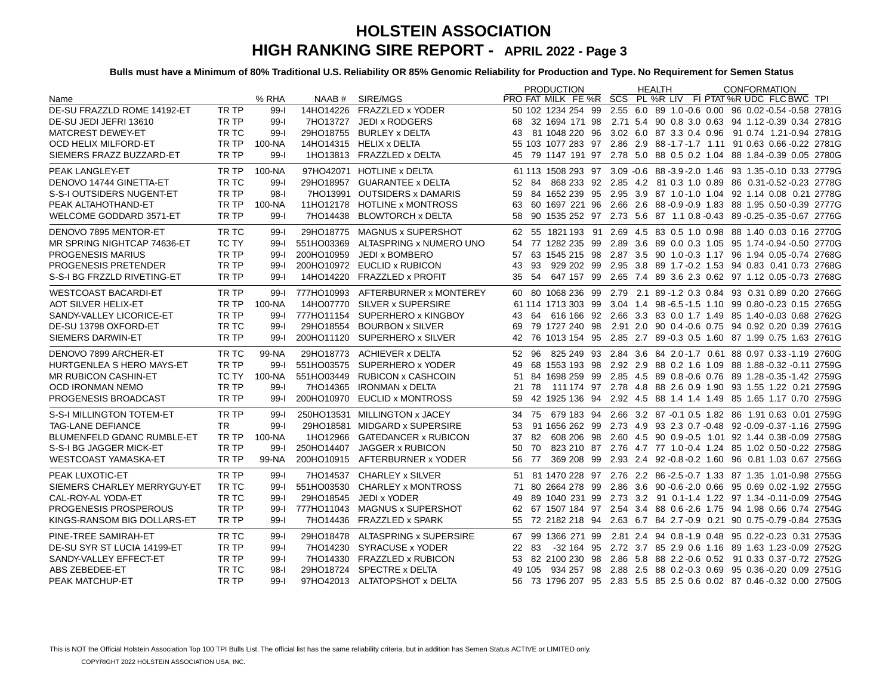|                                   |              |          |            |                                        | <b>PRODUCTION</b> | <b>HEALTH</b> | <b>CONFORMATION</b>                                                              |
|-----------------------------------|--------------|----------|------------|----------------------------------------|-------------------|---------------|----------------------------------------------------------------------------------|
| Name                              |              | % RHA    |            | NAAB # SIRE/MGS                        |                   |               | PRO FAT MILK FE %R SCS PL %R LIV FI PTAT %R UDC FLC BWC TPL                      |
| DE-SU FRAZZLD ROME 14192-ET       | TR TP        | $99 - 1$ | 14HO14226  | <b>FRAZZLED x YODER</b>                |                   |               | 50 102 1234 254 99 2.55 6.0 89 1.0 -0.6 0.00 96 0.02 -0.54 -0.58 2781G           |
| DE-SU JEDI JEFRI 13610            | TR TP        | $99-$    |            | 7HO13727 JEDI x RODGERS                |                   |               | 68 32 1694 171 98 2.71 5.4 90 0.8 3.0 0.63 94 1.12-0.39 0.34 2781G               |
| <b>MATCREST DEWEY-ET</b>          | TR TC        | $99 - 1$ |            | 29HO18755 BURLEY x DELTA               |                   |               | 43  81  1048  220  96  3.02  6.0  87  3.3  0.4  0.96  91  0.74  1.21-0.94  2781G |
| <b>OCD HELIX MILFORD-ET</b>       | TR TP        | 100-NA   |            | 14HO14315 HELIX x DELTA                |                   |               | 55 103 1077 283 97 2.86 2.9 88 -1.7 -1.7 1.11 91 0.63 0.66 -0.22 2781G           |
| SIEMERS FRAZZ BUZZARD-ET          | TR TP        | $99 - 1$ |            | 1HO13813 FRAZZLED x DELTA              |                   |               | 45 79 1147 191 97 2.78 5.0 88 0.5 0.2 1.04 88 1.84 -0.39 0.05 2780G              |
| PEAK LANGLEY-ET                   | TR TP        | 100-NA   |            | 97HO42071 HOTLINE x DELTA              |                   |               | 61 113 1508 293 97 3.09 -0.6 88 -3.9 -2.0 1.46 93 1.35 -0.10 0.33 2779G          |
| DENOVO 14744 GINETTA-ET           | TR TC        | $99 - 1$ |            | 29HO18957 GUARANTEE x DELTA            | 52 84             |               | 868 233 92 2.85 4.2 81 0.3 1.0 0.89 86 0.31-0.52-0.23 2778G                      |
| S-S-I OUTSIDERS NUGENT-ET         | TR TP        | $98-1$   |            | 7HO13991 OUTSIDERS x DAMARIS           | 59                |               | 84 1652 239 95 2.95 3.9 87 1.0-1.0 1.04 92 1.14 0.08 0.21 2778G                  |
| PEAK ALTAHOTHAND-ET               | TR TP        | 100-NA   |            | 11HO12178 HOTLINE x MONTROSS           | 63                |               | 60 1697 221 96 2.66 2.6 88 0.9 0.9 1.83 88 1.95 0.50 0.39 2777G                  |
| <b>WELCOME GODDARD 3571-ET</b>    | TR TP        | $99 - 1$ | 7HO14438   | <b>BLOWTORCH x DELTA</b>               | 58                |               | 90 1535 252 97 2.73 5.6 87 1.1 0.8 -0.43 89 -0.25 -0.35 -0.67 2776G              |
| DENOVO 7895 MENTOR-ET             | TR TC        | $99 - 1$ |            | 29HO18775 MAGNUS x SUPERSHOT           |                   |               | 62 55 1821 193 91 2.69 4.5 83 0.5 1.0 0.98 88 1.40 0.03 0.16 2770G               |
| MR SPRING NIGHTCAP 74636-ET       | <b>TC TY</b> | $99-I$   |            | 551HO03369 ALTASPRING x NUMERO UNO     |                   |               | 54 77 1282 235 99 2.89 3.6 89 0.0 0.3 1.05 95 1.74 -0.94 -0.50 2770G             |
| <b>PROGENESIS MARIUS</b>          | TR TP        | $99 - 1$ |            | 200HO10959 JEDI x BOMBERO              | 57                |               | 63 1545 215 98 2.87 3.5 90 1.0 -0.3 1.17 96 1.94 0.05 -0.74 2768G                |
| PROGENESIS PRETENDER              | TR TP        | $99 - 1$ |            | 200HO10972 EUCLID x RUBICON            | 93<br>43          |               | 929 202 99 2.95 3.8 89 1.7 - 0.2 1.53 94 0.83 0.41 0.73 2768G                    |
| S-S-I BG FRZZLD RIVETING-ET       | TR TP        | $99 - 1$ |            | 14HO14220 FRAZZLED x PROFIT            | 54<br>35          |               | 647 157 99 2.65 7.4 89 3.6 2.3 0.62 97 1.12 0.05 0.73 2768G                      |
| <b>WESTCOAST BACARDI-ET</b>       | TR TP        |          |            | 99-I 777HO10993 AFTERBURNER x MONTEREY |                   |               | 60 80 1068 236 99 2.79 2.1 89 -1.2 0.3 0.84 93 0.31 0.89 0.20 2766G              |
| <b>AOT SILVER HELIX-ET</b>        | TR TP        | 100-NA   |            | 14HO07770 SILVER x SUPERSIRE           |                   |               | 61 114 1713 303 99 3.04 1.4 98 -6.5 -1.5 1.10 99 0.80 -0.23 0.15 2765G           |
| SANDY-VALLEY LICORICE-ET          | TR TP        | $99-I$   |            | 777HO11154 SUPERHERO x KINGBOY         |                   |               | 43 64 616 166 92 2.66 3.3 83 0.0 1.7 1.49 85 1.40 0.03 0.68 2762G                |
| DE-SU 13798 OXFORD-ET             | TR TC        | $99 - 1$ | 29HO18554  | <b>BOURBON x SILVER</b>                | 69                |               | 79 1727 240 98 2.91 2.0 90 0.4 -0.6 0.75 94 0.92 0.20 0.39 2761G                 |
| SIEMERS DARWIN-ET                 | TR TP        | $99 - 1$ |            | 200HO11120 SUPERHERO x SILVER          |                   |               | 42 76 1013 154 95 2.85 2.7 89 0.3 0.5 1.60 87 1.99 0.75 1.63 2761G               |
| DENOVO 7899 ARCHER-ET             | TR TC        | 99-NA    |            | 29HO18773 ACHIEVER x DELTA             |                   |               | 52 96 825 249 93 2.84 3.6 84 2.0-1.7 0.61 88 0.97 0.33-1.19 2760G                |
| HURTGENLEA S HERO MAYS-ET         | TR TP        | $99 - 1$ |            | 551HO03575 SUPERHERO x YODER           | 49                |               | 68 1553 193 98 2.92 2.9 88 0.2 1.6 1.09 88 1.88 0.32 0.11 2759G                  |
| <b>MR RUBICON CASHIN-ET</b>       | TC TY        | 100-NA   |            | 551HO03449 RUBICON x CASHCOIN          |                   |               | 51 84 1698 259 99 2.85 4.5 89 0.8 -0.6 0.76 89 1.28 -0.35 -1.42 2759G            |
| OCD IRONMAN NEMO                  | TR TP        | $99 - 1$ |            | 7HO14365 IRONMAN x DELTA               | 21 78             |               | 111 174 97 2.78 4.8 88 2.6 0.9 1.90 93 1.55 1.22 0.21 2759G                      |
| PROGENESIS BROADCAST              | TR TP        | $99 - 1$ |            | 200HO10970 EUCLID x MONTROSS           | 59                |               | 42 1925 136 94 2.92 4.5 88 1.4 1.4 1.49 85 1.65 1.17 0.70 2759G                  |
| S-S-I MILLINGTON TOTEM-ET         | TR TP        | $99 - 1$ |            | 250HO13531 MILLINGTON x JACEY          |                   |               | 34 75 679 183 94 2.66 3.2 87 -0.1 0.5 1.82 86 1.91 0.63 0.01 2759G               |
| <b>TAG-LANE DEFIANCE</b>          | <b>TR</b>    | $99 - 1$ |            | 29HO18581 MIDGARD x SUPERSIRE          | 53                |               | 91 1656 262 99 2.73 4.9 93 2.3 0.7 -0.48 92 -0.09 -0.37 -1.16 2759G              |
| <b>BLUMENFELD GDANC RUMBLE-ET</b> | TR TP        | 100-NA   | 1HO12966   | <b>GATEDANCER x RUBICON</b>            | 37                |               | 82 608 206 98 2.60 4.5 90 0.9 -0.5 1.01 92 1.44 0.38 -0.09 2758G                 |
| S-S-I BG JAGGER MICK-ET           | TR TP        | 99-1     | 250HO14407 | <b>JAGGER x RUBICON</b>                | 70<br>50          |               | 823 210 87 2.76 4.7 77 1.0-0.4 1.24 85 1.02 0.50-0.22 2758G                      |
| <b>WESTCOAST YAMASKA-ET</b>       | TR TP        | 99-NA    | 200HO10915 | AFTERBURNER x YODER                    | 56 77             |               | 369 208 99 2.93 2.4 92 -0.8 -0.2 1.60 96 0.81 1.03 0.67 2756G                    |
| PEAK LUXOTIC-ET                   | TR TP        | $99 - 1$ | 7HO14537   | <b>CHARLEY x SILVER</b>                |                   |               | 51 81 1470 228 97 2.76 2.2 86 - 2.5 - 0.7 1.33 87 1.35 1.01 - 0.98 2755 G        |
| SIEMERS CHARLEY MERRYGUY-ET       | TR TC        | $99-I$   | 551HO03530 | <b>CHARLEY x MONTROSS</b>              |                   |               | 71 80 2664 278 99 2.86 3.6 90 0.6 - 2.0 0.66 95 0.69 0.02 - 1.92 2755G           |
| CAL-ROY-AL YODA-ET                | TR TC        | $99 - 1$ |            | 29HO18545 JEDI x YODER                 | 49                |               | 89 1040 231 99 2.73 3.2 91 0.1-1.4 1.22 97 1.34 -0.11-0.09 2754G                 |
| PROGENESIS PROSPEROUS             | TR TP        | $99-I$   |            | 777HO11043 MAGNUS x SUPERSHOT          |                   |               | 62 67 1507 184 97 2.54 3.4 88 0.6-2.6 1.75 94 1.98 0.66 0.74 2754G               |
| KINGS-RANSOM BIG DOLLARS-ET       | TR TP        | $99 - 1$ | 7HO14436   | <b>FRAZZLED x SPARK</b>                |                   |               | 55 72 2182 218 94 2.63 6.7 84 2.7 -0.9 0.21 90 0.75 -0.79 -0.84 2753G            |
| PINE-TREE SAMIRAH-ET              | TR TC        | $99 - 1$ |            | 29HO18478 ALTASPRING x SUPERSIRE       |                   |               | 67 99 1366 271 99 2.81 2.4 94 0.8-1.9 0.48 95 0.22-0.23 0.31 2753G               |
| DE-SU SYR ST LUCIA 14199-ET       | TR TP        | $99 - 1$ |            | 7HO14230 SYRACUSE x YODER              | 22 83             |               | -32 164 95 2.72 3.7 85 2.9 0.6 1.16 89 1.63 1.23 -0.09 2752G                     |
| SANDY-VALLEY EFFECT-ET            | TR TP        | $99 - 1$ |            | 7HO14330 FRAZZLED x RUBICON            |                   |               | 53 82 2100 230 98 2.86 5.8 88 2.2 - 0.6 0.52 91 0.33 0.37 - 0.72 2752G           |
| ABS ZEBEDEE-ET                    | TR TC        | $98-1$   |            | 29HO18724 SPECTRE x DELTA              |                   |               | 49 105 934 257 98 2.88 2.5 88 0.2 -0.3 0.69 95 0.36 -0.20 0.09 2751G             |
| PEAK MATCHUP-ET                   | TR TP        | $99-$    |            | 97HO42013 ALTATOPSHOT x DELTA          |                   |               | 56 73 1796 207 95 2.83 5.5 85 2.5 0.6 0.02 87 0.46 -0.32 0.00 2750G              |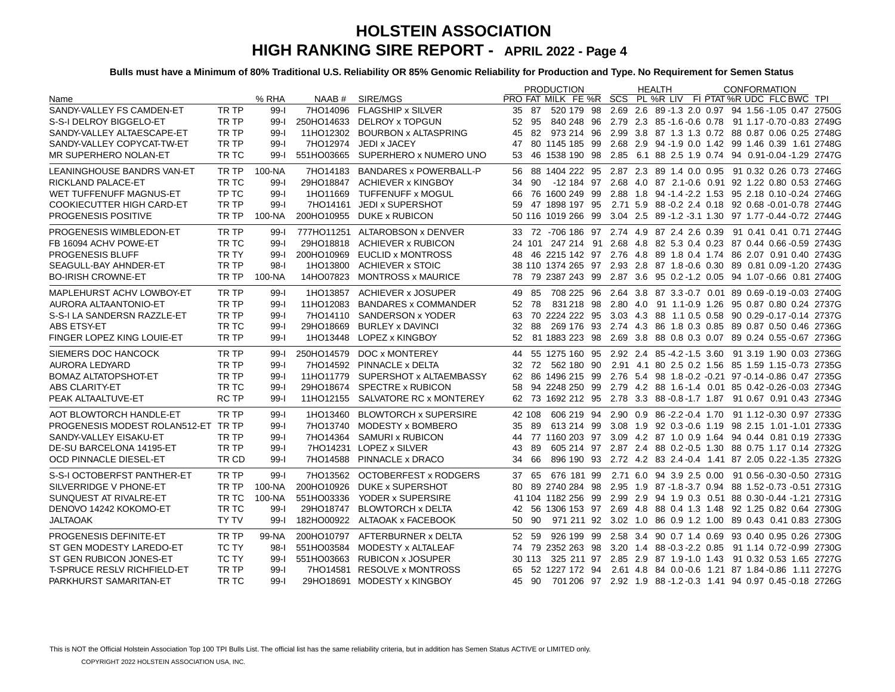|                                     |              |          |            |                                   | <b>PRODUCTION</b>                                                  | <b>HEALTH</b> | <b>CONFORMATION</b>                                                        |
|-------------------------------------|--------------|----------|------------|-----------------------------------|--------------------------------------------------------------------|---------------|----------------------------------------------------------------------------|
| Name                                |              | % RHA    | NAAB #     | SIRE/MGS                          | <b>PRO FAT MILK FE %R SCS PL %R LIV FI PTAT %R UDC FLC BWC TPI</b> |               |                                                                            |
| SANDY-VALLEY FS CAMDEN-ET           | TR TP        | $99 - 1$ |            | 7HO14096 FLAGSHIP x SILVER        | -87<br>35                                                          |               | 520 179 98 2.69 2.6 89 -1.3 2.0 0.97 94 1.56 -1.05 0.47 2750G              |
| S-S-I DELROY BIGGELO-ET             | TR TP        | $99 - 1$ |            | 250HO14633 DELROY x TOPGUN        | 52 95                                                              |               | 840 248 96 2.79 2.3 85 - 1.6 - 0.6 0.78 91 1.17 - 0.70 - 0.83 2749 G       |
| SANDY-VALLEY ALTAESCAPE-ET          | TR TP        | $99 - 1$ |            | 11HO12302 BOURBON x ALTASPRING    | 45                                                                 |               | 82 973 214 96 2.99 3.8 87 1.3 1.3 0.72 88 0.87 0.06 0.25 2748G             |
| SANDY-VALLEY COPYCAT-TW-ET          | TR TP        | $99 - 1$ | 7HO12974   | JEDI x JACEY                      | 47                                                                 |               | 80 1145 185 99 2.68 2.9 94 -1.9 0.0 1.42 99 1.46 0.39 1.61 2748G           |
| MR SUPERHERO NOLAN-ET               | TR TC        | 99-l     |            | 551HO03665 SUPERHERO x NUMERO UNO | 53                                                                 |               | 46 1538 190 98 2.85 6.1 88 2.5 1.9 0.74 94 0.91-0.04 -1.29 2747G           |
| <b>LEANINGHOUSE BANDRS VAN-ET</b>   | TR TP        | 100-NA   |            | 7HO14183 BANDARES x POWERBALL-P   |                                                                    |               | 56 88 1404 222 95 2.87 2.3 89 1.4 0.0 0.95 91 0.32 0.26 0.73 2746G         |
| RICKLAND PALACE-ET                  | TR TC        | $99 - 1$ |            | 29HO18847 ACHIEVER x KINGBOY      | 34<br>90                                                           |               | -12 184 97 2.68 4.0 87 2.1-0.6 0.91 92 1.22 0.80 0.53 2746G                |
| WET TUFFENUFF MAGNUS-ET             | TP TC        | $99-$    |            | 1HO11669 TUFFENUFF x MOGUL        | 66                                                                 |               | 76 1600 249 99 2.88 1.8 94 -1.4 -2.2 1.53 95 2.18 0.10 -0.24 2746G         |
| <b>COOKIECUTTER HIGH CARD-ET</b>    | TR TP        | $99 - 1$ |            | 7HO14161 JEDI x SUPERSHOT         | 59                                                                 |               | 47 1898 197 95 2.71 5.9 88 -0.2 2.4 0.18 92 0.68 -0.01 -0.78 2744G         |
| PROGENESIS POSITIVE                 | TR TP        | 100-NA   |            | 200HO10955 DUKE x RUBICON         |                                                                    |               | 50 116 1019 266 99 3.04 2.5 89 -1.2 -3.1 1.30 97 1.77 -0.44 -0.72 2744G    |
| PROGENESIS WIMBLEDON-ET             | TR TP        | 99-l     |            | 777HO11251 ALTAROBSON x DENVER    |                                                                    |               | 33 72 -706 186 97 2.74 4.9 87 2.4 2.6 0.39 91 0.41 0.41 0.71 2744G         |
| FB 16094 ACHV POWE-ET               | TR TC        | $99-1$   | 29HO18818  | ACHIEVER x RUBICON                |                                                                    |               | 24 101 247 214 91 2.68 4.8 82 5.3 0.4 0.23 87 0.44 0.66 0.59 2743G         |
| <b>PROGENESIS BLUFF</b>             | TR TY        | $99 - 1$ |            | 200HO10969 EUCLID x MONTROSS      |                                                                    |               | 48 46 2215 142 97 2.76 4.8 89 1.8 0.4 1.74 86 2.07 0.91 0.40 2743G         |
| SEAGULL-BAY AHNDER-ET               | TR TP        | $98-1$   | 1HO13800   | ACHIEVER x STOIC                  |                                                                    |               | 38 110 1374 265 97 2.93 2.8 87 1.8 -0.6 0.30 89 0.81 0.09 -1.20 2743G      |
| <b>BO-IRISH CROWNE-ET</b>           | TR TP        | 100-NA   | 14HO07823  | <b>MONTROSS x MAURICE</b>         |                                                                    |               | 78 79 2387 243 99 2.87 3.6 95 0.2-1.2 0.05 94 1.07-0.66 0.81 2740G         |
| MAPLEHURST ACHV LOWBOY-ET           | TR TP        | $99 - 1$ | 1HO13857   | ACHIEVER x JOSUPER                | 49 85                                                              |               | 708 225 96 2.64 3.8 87 3.3 -0.7 0.01 89 0.69 -0.19 -0.03 2740G             |
| AURORA ALTAANTONIO-ET               | TR TP        | $99 - 1$ | 11HO12083  | <b>BANDARES x COMMANDER</b>       | 52 78                                                              |               | 831 218 98 2.80 4.0 91 1.1-0.9 1.26 95 0.87 0.80 0.24 2737G                |
| S-S-I LA SANDERSN RAZZLE-ET         | TR TP        | $99 - 1$ |            | 7HO14110 SANDERSON x YODER        |                                                                    |               | 63 70 2224 222 95 3.03 4.3 88 1.1 0.5 0.58 90 0.29 -0.17 -0.14 2737G       |
| <b>ABS ETSY-ET</b>                  | TR TC        | $99 - 1$ | 29HO18669  | <b>BURLEY x DAVINCI</b>           | 32                                                                 |               | 88 269 176 93 2.74 4.3 86 1.8 0.3 0.85 89 0.87 0.50 0.46 2736G             |
| FINGER LOPEZ KING LOUIE-ET          | TR TP        | $99 - 1$ |            | 1HO13448 LOPEZ x KINGBOY          | 52                                                                 |               | 81 1883 223 98 2.69 3.8 88 0.8 0.3 0.07 89 0.24 0.55 -0.67 2736G           |
| SIEMERS DOC HANCOCK                 | TR TP        | $99-I$   |            | 250HO14579 DOC x MONTEREY         |                                                                    |               | 44 55 1275 160 95 2.92 2.4 85 -4.2 -1.5 3.60 91 3.19 1.90 0.03 2736G       |
| <b>AURORA LEDYARD</b>               | TR TP        | $99 - 1$ |            | 7HO14592 PINNACLE x DELTA         | 32 72                                                              |               | 562 180 90 2.91 4.1 80 2.5 0.2 1.56 85 1.59 1.15 -0.73 2735G               |
| <b>BOMAZ ALTATOPSHOT-ET</b>         | TR TP        | $99 - 1$ |            | 11HO11779 SUPERSHOT x ALTAEMBASSY |                                                                    |               | 62 86 1496 215 99 2.76 5.4 98 1.8 -0.2 -0.21 97 -0.14 -0.86 0.47 2735G     |
| ABS CLARITY-ET                      | TR TC        | $99 - 1$ |            | 29HO18674 SPECTRE x RUBICON       | 58                                                                 |               | 94 2248 250 99 2.79 4.2 88 1.6 - 1.4 0.01 85 0.42 - 0.26 - 0.03 2734 G     |
| PEAK ALTAALTUVE-ET                  | <b>RC TP</b> | $99 - 1$ |            | 11HO12155 SALVATORE RC x MONTEREY |                                                                    |               | 62 73 1692 212 95 2.78 3.3 88 -0.8 -1.7 1.87 91 0.67 0.91 0.43 2734G       |
| AOT BLOWTORCH HANDLE-ET             | TR TP        | $99 - 1$ | 1HO13460   | <b>BLOWTORCH x SUPERSIRE</b>      | 42 108                                                             |               | 606 219 94 2.90 0.9 86 -2.2 -0.4 1.70 91 1.12 -0.30 0.97 2733G             |
| PROGENESIS MODEST ROLAN512-ET TR TP |              | $99 - 1$ |            | 7HO13740 MODESTY x BOMBERO        | 89<br>35                                                           |               | 613 214 99 3.08 1.9 92 0.3 -0.6 1.19 98 2.15 1.01 -1.01 2733G              |
| SANDY-VALLEY EISAKU-ET              | TR TP        | $99 - 1$ |            | 7HO14364 SAMURI x RUBICON         |                                                                    |               | 44 77 1160 203 97 3.09 4.2 87 1.0 0.9 1.64 94 0.44 0.81 0.19 2733G         |
| DE-SU BARCELONA 14195-ET            | TR TP        | $99 - 1$ |            | 7HO14231 LOPEZ x SILVER           | 89<br>43                                                           |               | 605 214 97 2.87 2.4 88 0.2 -0.5 1.30 88 0.75 1.17 0.14 2732G               |
| <b>OCD PINNACLE DIESEL-ET</b>       | TR CD        | $99 - 1$ |            | 7HO14588 PINNACLE x DRACO         | 66<br>34                                                           |               | 896 190 93 2.72 4.2 83 2.4 - 0.4 1.41 87 2.05 0.22 - 1.35 2732G            |
| S-S-I OCTOBERFST PANTHER-ET         | TR TP        | $99 - 1$ |            | 7HO13562 OCTOBERFEST x RODGERS    | 37 65                                                              |               | 676 181 99 2.71 6.0 94 3.9 2.5 0.00 91 0.56 -0.30 -0.50 2731G              |
| SILVERRIDGE V PHONE-ET              | TR TP        | 100-NA   | 200HO10926 | DUKE x SUPERSHOT                  | 80                                                                 |               | 89 2740 284 98 2.95 1.9 87 -1.8 -3.7 0.94 88 1.52 -0.73 -0.51 2731G        |
| SUNQUEST AT RIVALRE-ET              | TR TC        | 100-NA   | 551HO03336 | YODER x SUPERSIRE                 |                                                                    |               | 41 104 1182 256 99 2.99 2.9 94 1.9 0.3 0.51 88 0.30 -0.44 -1.21 2731G      |
| DENOVO 14242 KOKOMO-ET              | TR TC        | $99 - 1$ | 29HO18747  | <b>BLOWTORCH x DELTA</b>          |                                                                    |               | 42 56 1306 153 97 2.69 4.8 88 0.4 1.3 1.48 92 1.25 0.82 0.64 2730G         |
| <b>JALTAOAK</b>                     | <b>TY TV</b> | $99 - 1$ |            | 182HO00922 ALTAOAK x FACEBOOK     | 50<br>90                                                           |               | 971 211 92 3.02 1.0 86 0.9 1.2 1.00 89 0.43 0.41 0.83 2730G                |
| PROGENESIS DEFINITE-ET              | TR TP        | 99-NA    |            | 200HO10797 AFTERBURNER x DELTA    | 52 59                                                              |               | 926 199 99 2.58 3.4 90 0.7 1.4 0.69 93 0.40 0.95 0.26 2730G                |
| ST GEN MODESTY LAREDO-ET            | TC TY        | 98-l     | 551HO03584 | MODESTY x ALTALEAF                |                                                                    |               | 74 79 2352 263 98 3.20 1.4 88 -0.3 -2.2 0.85 91 1.14 0.72 -0.99 2730G      |
| ST GEN RUBICON JONES-ET             | <b>TC TY</b> | $99-I$   |            | 551HO03663 RUBICON x JOSUPER      |                                                                    |               | 30 113 325 211 97 2.85 2.9 87 1.9-1.0 1.43 91 0.32 0.53 1.65 2727G         |
| <b>T-SPRUCE RESLV RICHFIELD-ET</b>  | TR TP        | $99 - 1$ |            | 7HO14581 RESOLVE x MONTROSS       | 65                                                                 |               |                                                                            |
| PARKHURST SAMARITAN-ET              | TR TC        | $99 - 1$ |            | 29HO18691 MODESTY x KINGBOY       | 45 90                                                              |               | 701 206  97  2.92  1.9  88  -1.2  -0.3  1.41  94  0.97  0.45  -0.18  2726G |